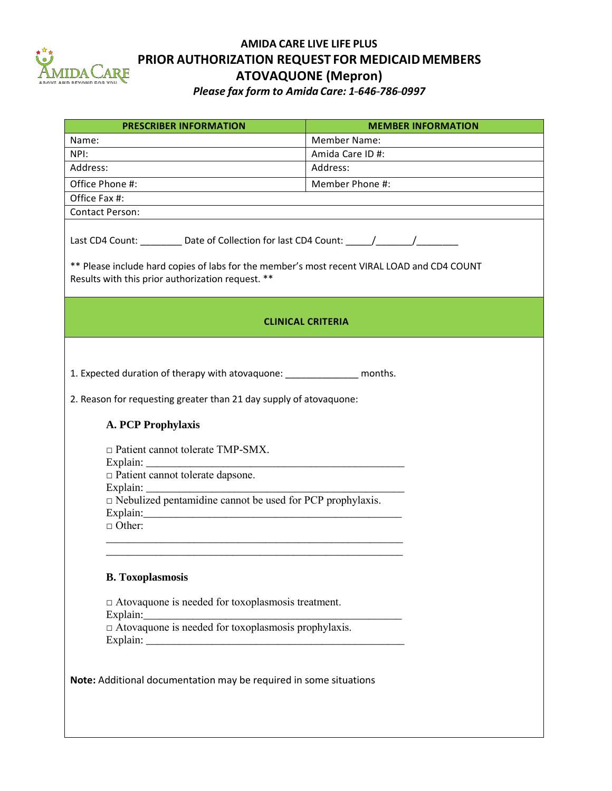

## **AMIDA CARE LIVE LIFE PLUS PRIOR AUTHORIZATION REQUEST FOR MEDICAIDMEMBERS ATOVAQUONE (Mepron)**

*Please fax form to Amida Care: 1---646---786---0997*

| <b>PRESCRIBER INFORMATION</b>                                                                                                                                                                                                                                                                                                                            | <b>MEMBER INFORMATION</b> |
|----------------------------------------------------------------------------------------------------------------------------------------------------------------------------------------------------------------------------------------------------------------------------------------------------------------------------------------------------------|---------------------------|
| Name:                                                                                                                                                                                                                                                                                                                                                    | <b>Member Name:</b>       |
| NPI:                                                                                                                                                                                                                                                                                                                                                     | Amida Care ID #:          |
| Address:                                                                                                                                                                                                                                                                                                                                                 | Address:                  |
| Office Phone #:                                                                                                                                                                                                                                                                                                                                          | Member Phone #:           |
| Office Fax #:                                                                                                                                                                                                                                                                                                                                            |                           |
| <b>Contact Person:</b>                                                                                                                                                                                                                                                                                                                                   |                           |
| Last CD4 Count: _________ Date of Collection for last CD4 Count: _____/_______/_______<br>** Please include hard copies of labs for the member's most recent VIRAL LOAD and CD4 COUNT<br>Results with this prior authorization request. **                                                                                                               |                           |
| <b>CLINICAL CRITERIA</b>                                                                                                                                                                                                                                                                                                                                 |                           |
| 1. Expected duration of therapy with atovaquone: _________________ months.<br>2. Reason for requesting greater than 21 day supply of atovaquone:<br><b>A. PCP Prophylaxis</b><br>$\Box$ Patient cannot tolerate TMP-SMX.<br>$\Box$ Patient cannot tolerate dapsone.<br>$\Box$ Nebulized pentamidine cannot be used for PCP prophylaxis.<br>$\Box$ Other: |                           |
| <b>B.</b> Toxoplasmosis                                                                                                                                                                                                                                                                                                                                  |                           |
| $\Box$ Atovaquone is needed for toxoplasmosis treatment.<br>Explain:                                                                                                                                                                                                                                                                                     |                           |
| $\Delta$ Atovaquone is needed for toxoplasmosis prophylaxis.                                                                                                                                                                                                                                                                                             |                           |
| Note: Additional documentation may be required in some situations                                                                                                                                                                                                                                                                                        |                           |